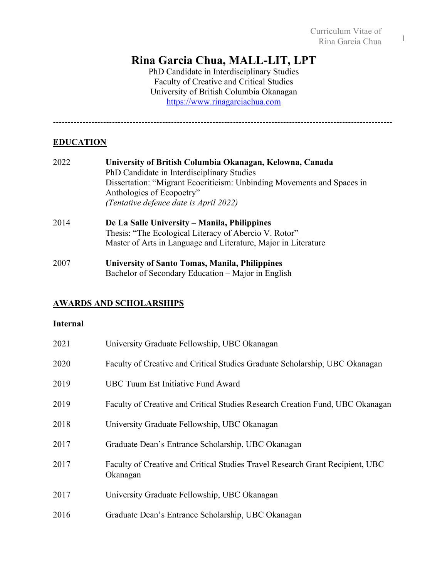# **Rina Garcia Chua, MALL-LIT, LPT**

PhD Candidate in Interdisciplinary Studies Faculty of Creative and Critical Studies University of British Columbia Okanagan https://www.rinagarciachua.com

**-------------------------------------------------------------------------------------------------------------------**

# **EDUCATION**

| 2022 | University of British Columbia Okanagan, Kelowna, Canada               |
|------|------------------------------------------------------------------------|
|      | PhD Candidate in Interdisciplinary Studies                             |
|      | Dissertation: "Migrant Ecocriticism: Unbinding Movements and Spaces in |
|      | Anthologies of Ecopoetry"                                              |
|      | (Tentative defence date is April 2022)                                 |
| 2014 | De La Salle University – Manila, Philippines                           |
|      | Thesis: "The Ecological Literacy of Abercio V. Rotor"                  |
|      | Master of Arts in Language and Literature, Major in Literature         |
| 2007 | <b>University of Santo Tomas, Manila, Philippines</b>                  |
|      | Bachelor of Secondary Education – Major in English                     |

# **AWARDS AND SCHOLARSHIPS**

### **Internal**

| 2021 | University Graduate Fellowship, UBC Okanagan                                              |
|------|-------------------------------------------------------------------------------------------|
| 2020 | Faculty of Creative and Critical Studies Graduate Scholarship, UBC Okanagan               |
| 2019 | UBC Tuum Est Initiative Fund Award                                                        |
| 2019 | Faculty of Creative and Critical Studies Research Creation Fund, UBC Okanagan             |
| 2018 | University Graduate Fellowship, UBC Okanagan                                              |
| 2017 | Graduate Dean's Entrance Scholarship, UBC Okanagan                                        |
| 2017 | Faculty of Creative and Critical Studies Travel Research Grant Recipient, UBC<br>Okanagan |
| 2017 | University Graduate Fellowship, UBC Okanagan                                              |
| 2016 | Graduate Dean's Entrance Scholarship, UBC Okanagan                                        |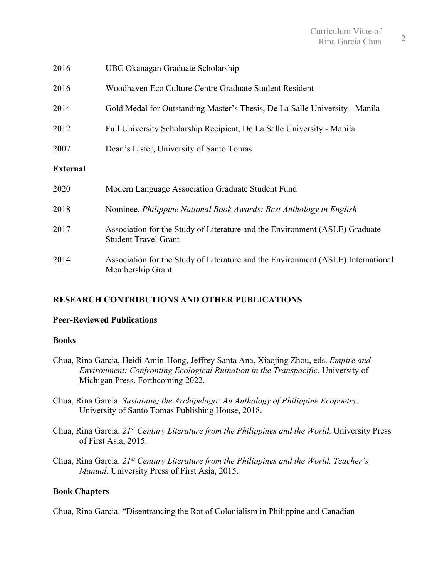| 2016            | UBC Okanagan Graduate Scholarship                                                                          |
|-----------------|------------------------------------------------------------------------------------------------------------|
| 2016            | Woodhaven Eco Culture Centre Graduate Student Resident                                                     |
| 2014            | Gold Medal for Outstanding Master's Thesis, De La Salle University - Manila                                |
| 2012            | Full University Scholarship Recipient, De La Salle University - Manila                                     |
| 2007            | Dean's Lister, University of Santo Tomas                                                                   |
| <b>External</b> |                                                                                                            |
| 2020            | Modern Language Association Graduate Student Fund                                                          |
| 2018            | Nominee, Philippine National Book Awards: Best Anthology in English                                        |
| 2017            | Association for the Study of Literature and the Environment (ASLE) Graduate<br><b>Student Travel Grant</b> |
| 2014            | Association for the Study of Literature and the Environment (ASLE) International<br>Membership Grant       |

# **RESEARCH CONTRIBUTIONS AND OTHER PUBLICATIONS**

### **Peer-Reviewed Publications**

#### **Books**

- Chua, Rina Garcia, Heidi Amin-Hong, Jeffrey Santa Ana, Xiaojing Zhou, eds. *Empire and Environment: Confronting Ecological Ruination in the Transpacific*. University of Michigan Press. Forthcoming 2022.
- Chua, Rina Garcia. *Sustaining the Archipelago: An Anthology of Philippine Ecopoetry*. University of Santo Tomas Publishing House, 2018.
- Chua, Rina Garcia. *21st Century Literature from the Philippines and the World*. University Press of First Asia, 2015.
- Chua, Rina Garcia. *21st Century Literature from the Philippines and the World, Teacher's Manual*. University Press of First Asia, 2015.

### **Book Chapters**

Chua, Rina Garcia. "Disentrancing the Rot of Colonialism in Philippine and Canadian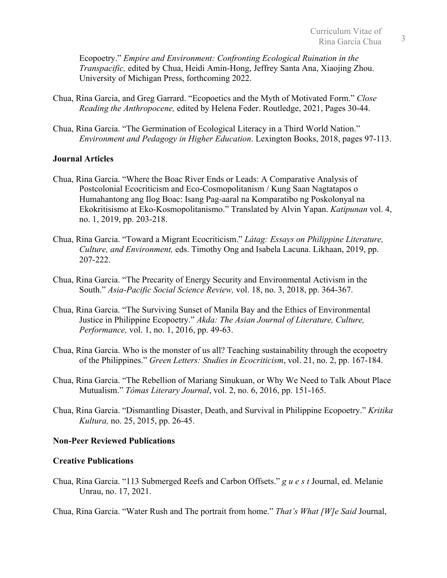Ecopoetry." *Empire and Environment: Confronting Ecological Ruination in the Transpacific,* edited by Chua, Heidi Amin-Hong, Jeffrey Santa Ana, Xiaojing Zhou. University of Michigan Press, forthcoming 2022.

- Chua, Rina Garcia, and Greg Garrard. "Ecopoetics and the Myth of Motivated Form." *Close Reading the Anthropocene,* edited by Helena Feder. Routledge, 2021, Pages 30-44.
- Chua, Rina Garcia. "The Germination of Ecological Literacy in a Third World Nation." *Environment and Pedagogy in Higher Education*. Lexington Books, 2018, pages 97-113.

### **Journal Articles**

- Chua, Rina Garcia. "Where the Boac River Ends or Leads: A Comparative Analysis of Postcolonial Ecocriticism and Eco-Cosmopolitanism / Kung Saan Nagtatapos o Humahantong ang Ilog Boac: Isang Pag-aaral na Komparatibo ng Poskolonyal na Ekokritisismo at Eko-Kosmopolitanismo." Translated by Alvin Yapan. *Katipunan* vol. 4, no. 1, 2019, pp. 203-218.
- Chua, Rina Garcia. "Toward a Migrant Ecocriticism." *Látag: Essays on Philippine Literature, Culture, and Environment,* eds. Timothy Ong and Isabela Lacuna. Likhaan, 2019, pp. 207-222.
- Chua, Rina Garcia. "The Precarity of Energy Security and Environmental Activism in the South." *Asia-Pacific Social Science Review,* vol. 18, no. 3, 2018, pp. 364-367.
- Chua, Rina Garcia. "The Surviving Sunset of Manila Bay and the Ethics of Environmental Justice in Philippine Ecopoetry." *Akda: The Asian Journal of Literature, Culture, Performance,* vol. 1, no. 1, 2016, pp. 49-63.
- Chua, Rina Garcia. Who is the monster of us all? Teaching sustainability through the ecopoetry of the Philippines." *Green Letters: Studies in Ecocriticism*, vol. 21, no. 2, pp. 167-184.
- Chua, Rina Garcia. "The Rebellion of Mariang Sinukuan, or Why We Need to Talk About Place Mutualism." *Tómas Literary Journal*, vol. 2, no. 6, 2016, pp. 151-165.
- Chua, Rina Garcia. "Dismantling Disaster, Death, and Survival in Philippine Ecopoetry." *Kritika Kultura,* no. 25, 2015, pp. 26-45.

### **Non-Peer Reviewed Publications**

#### **Creative Publications**

- Chua, Rina Garcia. "113 Submerged Reefs and Carbon Offsets." *g u e s t* Journal, ed. Melanie Unrau, no. 17, 2021.
- Chua, Rina Garcia. "Water Rush and The portrait from home." *That's What [W]e Said* Journal,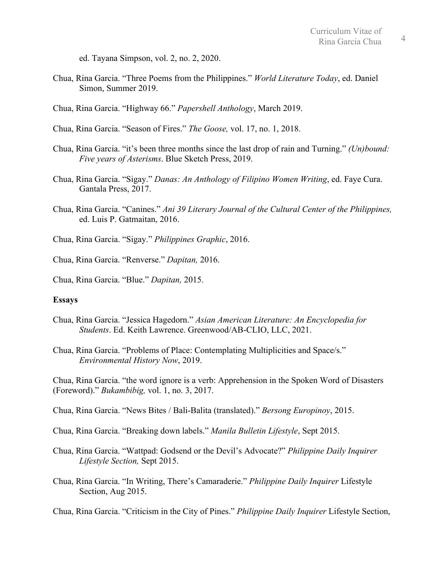ed. Tayana Simpson, vol. 2, no. 2, 2020.

- Chua, Rina Garcia. "Three Poems from the Philippines." *World Literature Today*, ed. Daniel Simon, Summer 2019.
- Chua, Rina Garcia. "Highway 66." *Papershell Anthology*, March 2019.
- Chua, Rina Garcia. "Season of Fires." *The Goose,* vol. 17, no. 1, 2018.
- Chua, Rina Garcia. "it's been three months since the last drop of rain and Turning." *(Un)bound: Five years of Asterisms*. Blue Sketch Press, 2019.
- Chua, Rina Garcia. "Sigay." *Danas: An Anthology of Filipino Women Writing*, ed. Faye Cura. Gantala Press, 2017.
- Chua, Rina Garcia. "Canines." *Ani 39 Literary Journal of the Cultural Center of the Philippines,* ed. Luis P. Gatmaitan, 2016.
- Chua, Rina Garcia. "Sigay." *Philippines Graphic*, 2016.

Chua, Rina Garcia. "Renverse." *Dapitan,* 2016.

Chua, Rina Garcia. "Blue." *Dapitan,* 2015.

#### **Essays**

- Chua, Rina Garcia. "Jessica Hagedorn." *Asian American Literature: An Encyclopedia for Students*. Ed. Keith Lawrence. Greenwood/AB-CLIO, LLC, 2021.
- Chua, Rina Garcia. "Problems of Place: Contemplating Multiplicities and Space/s." *Environmental History Now*, 2019.

Chua, Rina Garcia. "the word ignore is a verb: Apprehension in the Spoken Word of Disasters (Foreword)." *Bukambibig,* vol. 1, no. 3, 2017.

- Chua, Rina Garcia. "News Bites / Bali-Balita (translated)." *Bersong Europinoy*, 2015.
- Chua, Rina Garcia. "Breaking down labels." *Manila Bulletin Lifestyle*, Sept 2015.

Chua, Rina Garcia. "Wattpad: Godsend or the Devil's Advocate?" *Philippine Daily Inquirer Lifestyle Section,* Sept 2015.

Chua, Rina Garcia. "In Writing, There's Camaraderie." *Philippine Daily Inquirer* Lifestyle Section, Aug 2015.

Chua, Rina Garcia. "Criticism in the City of Pines." *Philippine Daily Inquirer* Lifestyle Section,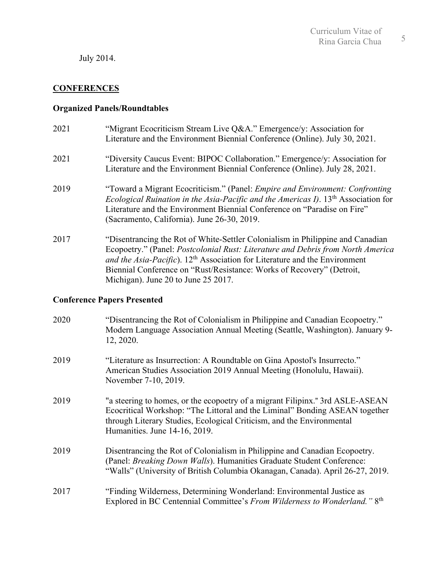July 2014.

### **CONFERENCES**

### **Organized Panels/Roundtables**

- 2021 "Migrant Ecocriticism Stream Live Q&A." Emergence/y: Association for Literature and the Environment Biennial Conference (Online). July 30, 2021.
- 2021 "Diversity Caucus Event: BIPOC Collaboration." Emergence/y: Association for Literature and the Environment Biennial Conference (Online). July 28, 2021.
- 2019 "Toward a Migrant Ecocriticism." (Panel: *Empire and Environment: Confronting Ecological Ruination in the Asia-Pacific and the Americas I)*. 13th Association for Literature and the Environment Biennial Conference on "Paradise on Fire" (Sacramento, California). June 26-30, 2019.
- 2017 "Disentrancing the Rot of White-Settler Colonialism in Philippine and Canadian Ecopoetry." (Panel: *Postcolonial Rust: Literature and Debris from North America*  and the Asia-Pacific). 12<sup>th</sup> Association for Literature and the Environment Biennial Conference on "Rust/Resistance: Works of Recovery" (Detroit, Michigan). June 20 to June 25 2017.

### **Conference Papers Presented**

| 2020 | "Disentrancing the Rot of Colonialism in Philippine and Canadian Ecopoetry."<br>Modern Language Association Annual Meeting (Seattle, Washington). January 9-<br>12, 2020.                                                                                              |
|------|------------------------------------------------------------------------------------------------------------------------------------------------------------------------------------------------------------------------------------------------------------------------|
| 2019 | "Literature as Insurrection: A Roundtable on Gina Apostol's Insurrecto."<br>American Studies Association 2019 Annual Meeting (Honolulu, Hawaii).<br>November 7-10, 2019.                                                                                               |
| 2019 | "a steering to homes, or the ecopoetry of a migrant Filipinx." 3rd ASLE-ASEAN<br>Ecocritical Workshop: "The Littoral and the Liminal" Bonding ASEAN together<br>through Literary Studies, Ecological Criticism, and the Environmental<br>Humanities. June 14-16, 2019. |
| 2019 | Disentrancing the Rot of Colonialism in Philippine and Canadian Ecopoetry.<br>(Panel: Breaking Down Walls). Humanities Graduate Student Conference:<br>"Walls" (University of British Columbia Okanagan, Canada). April 26-27, 2019.                                   |
| 2017 | "Finding Wilderness, Determining Wonderland: Environmental Justice as<br>Explored in BC Centennial Committee's From Wilderness to Wonderland." 8th                                                                                                                     |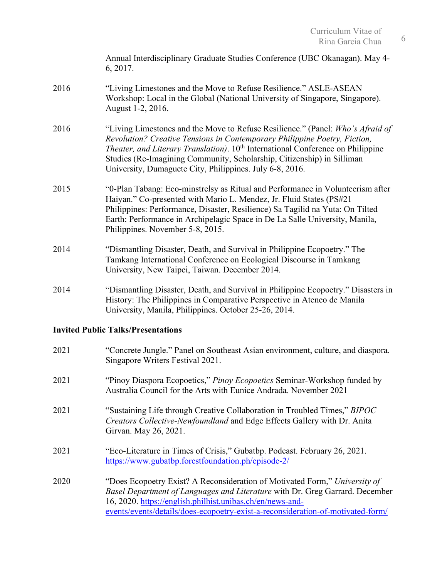|                                           | Annual Interdisciplinary Graduate Studies Conference (UBC Okanagan). May 4-<br>6, 2017.                                                                                                                                                                                                                                                                                                          |  |
|-------------------------------------------|--------------------------------------------------------------------------------------------------------------------------------------------------------------------------------------------------------------------------------------------------------------------------------------------------------------------------------------------------------------------------------------------------|--|
| 2016                                      | "Living Limestones and the Move to Refuse Resilience." ASLE-ASEAN<br>Workshop: Local in the Global (National University of Singapore, Singapore).<br>August 1-2, 2016.                                                                                                                                                                                                                           |  |
| 2016                                      | "Living Limestones and the Move to Refuse Resilience." (Panel: Who's Afraid of<br>Revolution? Creative Tensions in Contemporary Philippine Poetry, Fiction,<br>Theater, and Literary Translation). 10 <sup>th</sup> International Conference on Philippine<br>Studies (Re-Imagining Community, Scholarship, Citizenship) in Silliman<br>University, Dumaguete City, Philippines. July 6-8, 2016. |  |
| 2015                                      | "0-Plan Tabang: Eco-minstrelsy as Ritual and Performance in Volunteerism after<br>Haiyan." Co-presented with Mario L. Mendez, Jr. Fluid States (PS#21<br>Philippines: Performance, Disaster, Resilience) Sa Tagilid na Yuta: On Tilted<br>Earth: Performance in Archipelagic Space in De La Salle University, Manila,<br>Philippines. November 5-8, 2015.                                        |  |
| 2014                                      | "Dismantling Disaster, Death, and Survival in Philippine Ecopoetry." The<br>Tamkang International Conference on Ecological Discourse in Tamkang<br>University, New Taipei, Taiwan. December 2014.                                                                                                                                                                                                |  |
| 2014                                      | "Dismantling Disaster, Death, and Survival in Philippine Ecopoetry." Disasters in<br>History: The Philippines in Comparative Perspective in Ateneo de Manila<br>University, Manila, Philippines. October 25-26, 2014.                                                                                                                                                                            |  |
| <b>Invited Public Talks/Presentations</b> |                                                                                                                                                                                                                                                                                                                                                                                                  |  |
| 2021                                      | "Concrete Jungle." Panel on Southeast Asian environment, culture, and diaspora.<br>Singapore Writers Festival 2021.                                                                                                                                                                                                                                                                              |  |
| 2021                                      | "Pinoy Diaspora Ecopoetics," Pinoy Ecopoetics Seminar-Workshop funded by<br>Australia Council for the Arts with Eunice Andrada. November 2021                                                                                                                                                                                                                                                    |  |

- 2021 "Sustaining Life through Creative Collaboration in Troubled Times," *BIPOC Creators Collective-Newfoundland* and Edge Effects Gallery with Dr. Anita Girvan. May 26, 2021.
- 2021 "Eco-Literature in Times of Crisis," Gubatbp. Podcast. February 26, 2021. https://www.gubatbp.forestfoundation.ph/episode-2/
- 2020 "Does Ecopoetry Exist? A Reconsideration of Motivated Form," *University of Basel Department of Languages and Literature* with Dr. Greg Garrard. December 16, 2020. https://english.philhist.unibas.ch/en/news-andevents/events/details/does-ecopoetry-exist-a-reconsideration-of-motivated-form/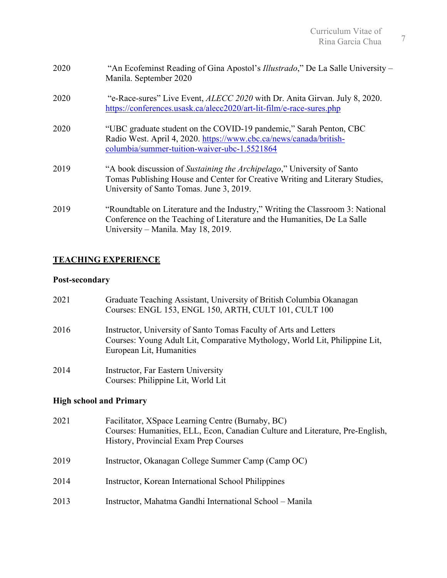| 2020 | "An Ecofeminst Reading of Gina Apostol's <i>Illustrado</i> ," De La Salle University –<br>Manila. September 2020                                                                                   |
|------|----------------------------------------------------------------------------------------------------------------------------------------------------------------------------------------------------|
| 2020 | "e-Race-sures" Live Event, <i>ALECC 2020</i> with Dr. Anita Girvan. July 8, 2020.<br>https://conferences.usask.ca/alecc2020/art-lit-film/e-race-sures.php                                          |
| 2020 | "UBC graduate student on the COVID-19 pandemic," Sarah Penton, CBC<br>Radio West. April 4, 2020. https://www.cbc.ca/news/canada/british-<br>columbia/summer-tuition-waiver-ubc-1.5521864           |
| 2019 | "A book discussion of Sustaining the Archipelago," University of Santo<br>Tomas Publishing House and Center for Creative Writing and Literary Studies,<br>University of Santo Tomas. June 3, 2019. |
| 2019 | "Roundtable on Literature and the Industry," Writing the Classroom 3: National<br>Conference on the Teaching of Literature and the Humanities, De La Salle<br>University – Manila. May 18, 2019.   |

# **TEACHING EXPERIENCE**

# **Post-secondary**

| 2021 | Graduate Teaching Assistant, University of British Columbia Okanagan<br>Courses: ENGL 153, ENGL 150, ARTH, CULT 101, CULT 100                                                |
|------|------------------------------------------------------------------------------------------------------------------------------------------------------------------------------|
| 2016 | Instructor, University of Santo Tomas Faculty of Arts and Letters<br>Courses: Young Adult Lit, Comparative Mythology, World Lit, Philippine Lit,<br>European Lit, Humanities |
| 2014 | Instructor, Far Eastern University<br>Courses: Philippine Lit, World Lit                                                                                                     |

# **High school and Primary**

| 2021 | Facilitator, XSpace Learning Centre (Burnaby, BC)<br>Courses: Humanities, ELL, Econ, Canadian Culture and Literature, Pre-English,<br>History, Provincial Exam Prep Courses |
|------|-----------------------------------------------------------------------------------------------------------------------------------------------------------------------------|
| 2019 | Instructor, Okanagan College Summer Camp (Camp OC)                                                                                                                          |
| 2014 | Instructor, Korean International School Philippines                                                                                                                         |
| 2013 | Instructor, Mahatma Gandhi International School – Manila                                                                                                                    |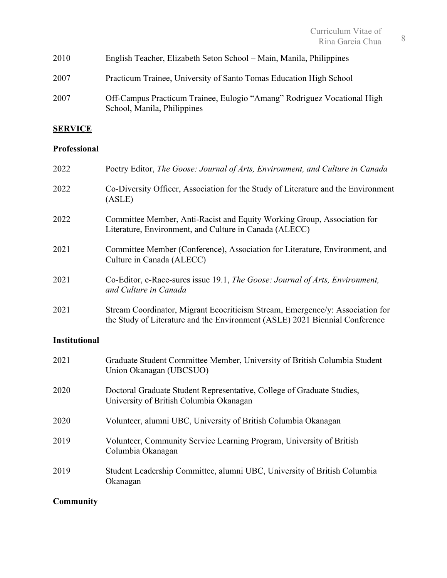| 2010 | English Teacher, Elizabeth Seton School – Main, Manila, Philippines                                    |
|------|--------------------------------------------------------------------------------------------------------|
| 2007 | Practicum Trainee, University of Santo Tomas Education High School                                     |
| 2007 | Off-Campus Practicum Trainee, Eulogio "Amang" Rodriguez Vocational High<br>School, Manila, Philippines |

# **SERVICE**

# **Professional**

| 2022                 | Poetry Editor, The Goose: Journal of Arts, Environment, and Culture in Canada                                                                                |
|----------------------|--------------------------------------------------------------------------------------------------------------------------------------------------------------|
| 2022                 | Co-Diversity Officer, Association for the Study of Literature and the Environment<br>(ASLE)                                                                  |
| 2022                 | Committee Member, Anti-Racist and Equity Working Group, Association for<br>Literature, Environment, and Culture in Canada (ALECC)                            |
| 2021                 | Committee Member (Conference), Association for Literature, Environment, and<br>Culture in Canada (ALECC)                                                     |
| 2021                 | Co-Editor, e-Race-sures issue 19.1, The Goose: Journal of Arts, Environment,<br>and Culture in Canada                                                        |
| 2021                 | Stream Coordinator, Migrant Ecocriticism Stream, Emergence/y: Association for<br>the Study of Literature and the Environment (ASLE) 2021 Biennial Conference |
| <b>Institutional</b> |                                                                                                                                                              |
| 2021                 | Graduate Student Committee Member, University of British Columbia Student<br>Union Okanagan (UBCSUO)                                                         |
| 2020                 | Doctoral Graduate Student Representative, College of Graduate Studies,<br>University of British Columbia Okanagan                                            |
| 2020                 | Volunteer, alumni UBC, University of British Columbia Okanagan                                                                                               |
| 2019                 | Volunteer, Community Service Learning Program, University of British<br>Columbia Okanagan                                                                    |

2019 Student Leadership Committee, alumni UBC, University of British Columbia Okanagan

# **Community**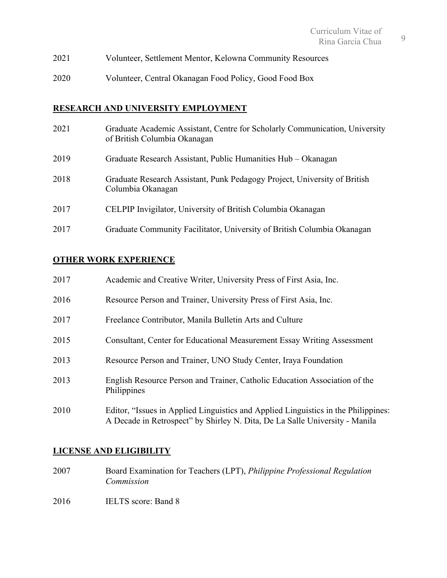- 2021 Volunteer, Settlement Mentor, Kelowna Community Resources
- 2020 Volunteer, Central Okanagan Food Policy, Good Food Box

### **RESEARCH AND UNIVERSITY EMPLOYMENT**

| 2021 | Graduate Academic Assistant, Centre for Scholarly Communication, University<br>of British Columbia Okanagan |
|------|-------------------------------------------------------------------------------------------------------------|
| 2019 | Graduate Research Assistant, Public Humanities Hub – Okanagan                                               |
| 2018 | Graduate Research Assistant, Punk Pedagogy Project, University of British<br>Columbia Okanagan              |
| 2017 | CELPIP Invigilator, University of British Columbia Okanagan                                                 |
| 2017 | Graduate Community Facilitator, University of British Columbia Okanagan                                     |

# **OTHER WORK EXPERIENCE**

| 2017 | Academic and Creative Writer, University Press of First Asia, Inc.                                                                                                |
|------|-------------------------------------------------------------------------------------------------------------------------------------------------------------------|
| 2016 | Resource Person and Trainer, University Press of First Asia, Inc.                                                                                                 |
| 2017 | Freelance Contributor, Manila Bulletin Arts and Culture                                                                                                           |
| 2015 | <b>Consultant, Center for Educational Measurement Essay Writing Assessment</b>                                                                                    |
| 2013 | Resource Person and Trainer, UNO Study Center, Iraya Foundation                                                                                                   |
| 2013 | English Resource Person and Trainer, Catholic Education Association of the<br>Philippines                                                                         |
| 2010 | Editor, "Issues in Applied Linguistics and Applied Linguistics in the Philippines:<br>A Decade in Retrospect" by Shirley N. Dita, De La Salle University - Manila |

# **LICENSE AND ELIGIBILITY**

- 2007 Board Examination for Teachers (LPT), *Philippine Professional Regulation Commission*
- 2016 **IELTS** score: Band 8